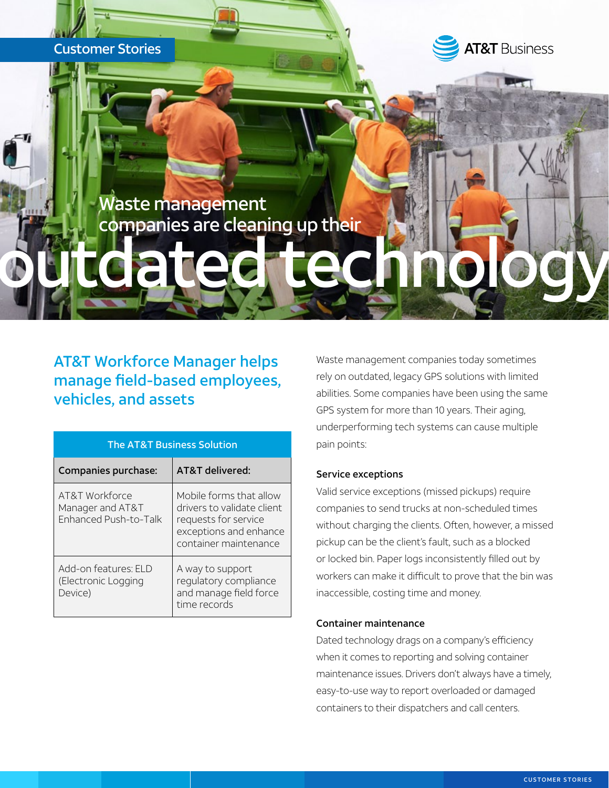

# AT&T Workforce Manager helps manage field-based employees, vehicles, and assets

| <b>The AT&amp;T Business Solution</b>                       |                                                                                                                                  |
|-------------------------------------------------------------|----------------------------------------------------------------------------------------------------------------------------------|
| Companies purchase:                                         | AT&T delivered:                                                                                                                  |
| AT&T Workforce<br>Manager and AT&T<br>Enhanced Push-to-Talk | Mobile forms that allow<br>drivers to validate client<br>requests for service<br>exceptions and enhance<br>container maintenance |
| Add-on features: ELD<br>(Electronic Logging<br>Device)      | A way to support<br>regulatory compliance<br>and manage field force<br>time records                                              |

Waste management companies today sometimes rely on outdated, legacy GPS solutions with limited abilities. Some companies have been using the same GPS system for more than 10 years. Their aging, underperforming tech systems can cause multiple pain points:

#### Service exceptions

Valid service exceptions (missed pickups) require companies to send trucks at non-scheduled times without charging the clients. Often, however, a missed pickup can be the client's fault, such as a blocked or locked bin. Paper logs inconsistently filled out by workers can make it difficult to prove that the bin was inaccessible, costing time and money.

### Container maintenance

Dated technology drags on a company's efficiency when it comes to reporting and solving container maintenance issues. Drivers don't always have a timely, easy-to-use way to report overloaded or damaged containers to their dispatchers and call centers.